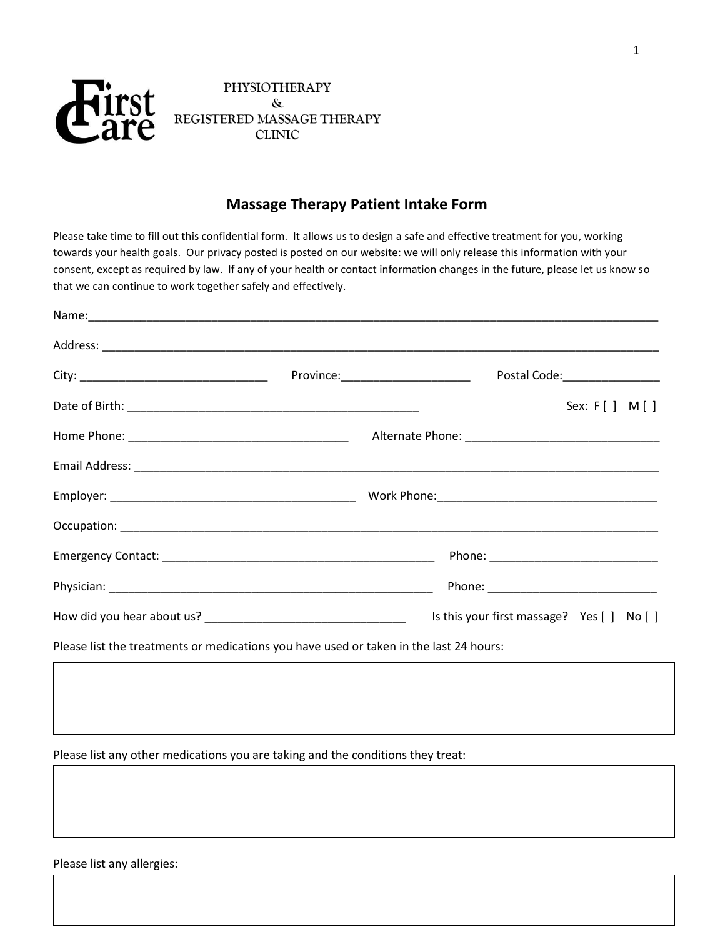

# **PHYSIOTHERAPY** & REGISTERED MASSAGE THERAPY **CLINIC**

# **Massage Therapy Patient Intake Form**

Please take time to fill out this confidential form. It allows us to design a safe and effective treatment for you, working towards your health goals. Our privacy posted is posted on our website: we will only release this information with your consent, except as required by law. If any of your health or contact information changes in the future, please let us know so that we can continue to work together safely and effectively.

| Name: Name: Name: Name: Name: Name: Name: Name: Name: Name: Name: Name: Name: Name: Name: Name: Name: Name: Name: Name: Name: Name: Name: Name: Name: Name: Name: Name: Name: Name: Name: Name: Name: Name: Name: Name: Name: |                                    |                                            |                |  |
|-------------------------------------------------------------------------------------------------------------------------------------------------------------------------------------------------------------------------------|------------------------------------|--------------------------------------------|----------------|--|
|                                                                                                                                                                                                                               |                                    |                                            |                |  |
|                                                                                                                                                                                                                               | Province:_________________________ | Postal Code: ________________              |                |  |
|                                                                                                                                                                                                                               |                                    |                                            | Sex: $F[] M[]$ |  |
|                                                                                                                                                                                                                               |                                    |                                            |                |  |
|                                                                                                                                                                                                                               |                                    |                                            |                |  |
|                                                                                                                                                                                                                               |                                    |                                            |                |  |
|                                                                                                                                                                                                                               |                                    |                                            |                |  |
|                                                                                                                                                                                                                               |                                    |                                            |                |  |
|                                                                                                                                                                                                                               |                                    |                                            |                |  |
|                                                                                                                                                                                                                               |                                    | Is this your first massage? Yes [ ] No [ ] |                |  |
| Please list the treatments or medications you have used or taken in the last 24 hours:                                                                                                                                        |                                    |                                            |                |  |

Please list any other medications you are taking and the conditions they treat:

1

Please list any allergies: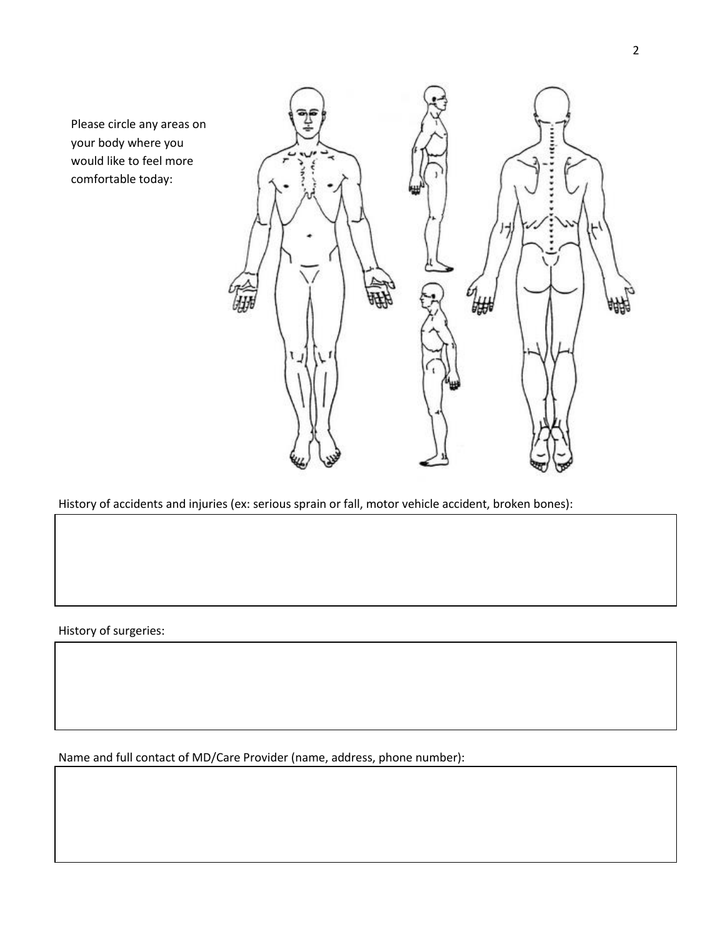Please circle any areas on your body where you would like to feel more comfortable today:



History of accidents and injuries (ex: serious sprain or fall, motor vehicle accident, broken bones):

History of surgeries:

Name and full contact of MD/Care Provider (name, address, phone number):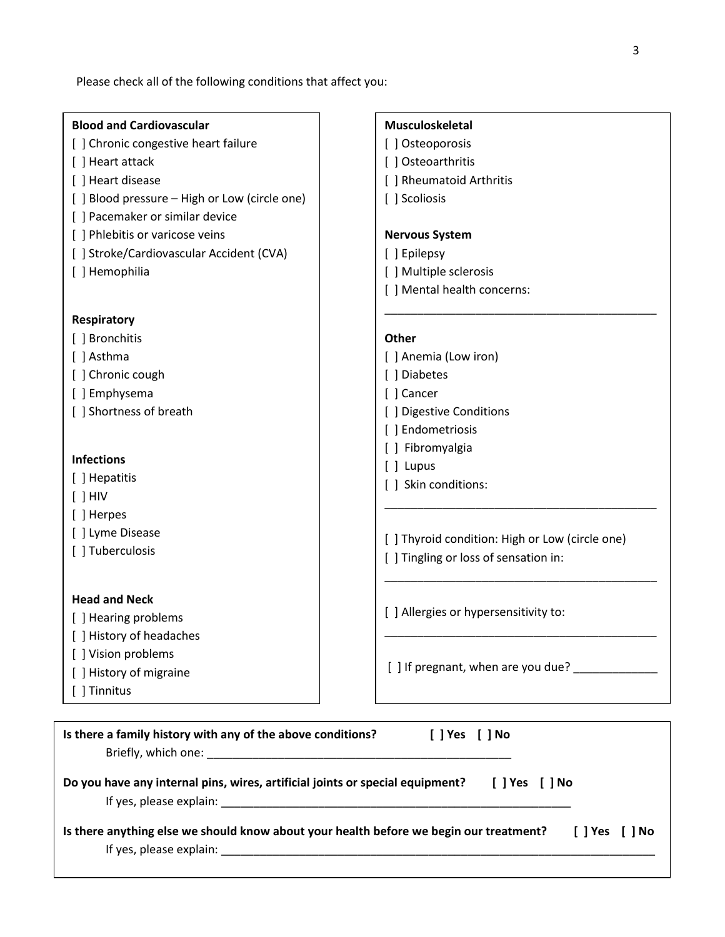Please check all of the following conditions that affect you:

| <b>Blood and Cardiovascular</b>                                               | Musculoskeletal                                 |  |  |  |  |
|-------------------------------------------------------------------------------|-------------------------------------------------|--|--|--|--|
| [] Chronic congestive heart failure                                           | [] Osteoporosis                                 |  |  |  |  |
| [ ] Heart attack                                                              | [] Osteoarthritis                               |  |  |  |  |
| [ ] Heart disease                                                             | [ ] Rheumatoid Arthritis                        |  |  |  |  |
| [ ] Blood pressure - High or Low (circle one)                                 | [ ] Scoliosis                                   |  |  |  |  |
| [] Pacemaker or similar device                                                |                                                 |  |  |  |  |
| [ ] Phlebitis or varicose veins                                               | <b>Nervous System</b>                           |  |  |  |  |
| [ ] Stroke/Cardiovascular Accident (CVA)                                      | [ ] Epilepsy                                    |  |  |  |  |
| [ ] Hemophilia                                                                | [ ] Multiple sclerosis                          |  |  |  |  |
|                                                                               | [ ] Mental health concerns:                     |  |  |  |  |
| Respiratory                                                                   |                                                 |  |  |  |  |
| [ ] Bronchitis                                                                | Other                                           |  |  |  |  |
| [ ] Asthma                                                                    | [ ] Anemia (Low iron)                           |  |  |  |  |
| [ ] Chronic cough                                                             | [ ] Diabetes                                    |  |  |  |  |
| [] Emphysema                                                                  | [ ] Cancer                                      |  |  |  |  |
| [ ] Shortness of breath                                                       | [ ] Digestive Conditions                        |  |  |  |  |
|                                                                               | [ ] Endometriosis                               |  |  |  |  |
| <b>Infections</b>                                                             | [] Fibromyalgia                                 |  |  |  |  |
|                                                                               | [ ] Lupus                                       |  |  |  |  |
| [ ] Hepatitis<br>$[ ]$ HIV                                                    | [ ] Skin conditions:                            |  |  |  |  |
| [ ] Herpes                                                                    |                                                 |  |  |  |  |
| [ ] Lyme Disease                                                              |                                                 |  |  |  |  |
| [ ] Tuberculosis                                                              | [ ] Thyroid condition: High or Low (circle one) |  |  |  |  |
|                                                                               | [ ] Tingling or loss of sensation in:           |  |  |  |  |
| <b>Head and Neck</b>                                                          |                                                 |  |  |  |  |
| [ ] Hearing problems                                                          | [ ] Allergies or hypersensitivity to:           |  |  |  |  |
| [ ] History of headaches                                                      |                                                 |  |  |  |  |
| [ ] Vision problems                                                           |                                                 |  |  |  |  |
| [ ] History of migraine                                                       | [] If pregnant, when are you due? ____          |  |  |  |  |
| [ ] Tinnitus                                                                  |                                                 |  |  |  |  |
|                                                                               |                                                 |  |  |  |  |
| Is there a family history with any of the above conditions?<br>[ ] Yes [ ] No |                                                 |  |  |  |  |

| Do you have any internal pins, wires, artificial joints or special equipment? | I l Yes | 「 l No |
|-------------------------------------------------------------------------------|---------|--------|
| If yes, please explain:                                                       |         |        |

Briefly, which one: \_\_\_\_\_\_\_\_\_\_\_\_\_\_\_\_\_\_\_\_\_\_\_\_\_\_\_\_\_\_\_\_\_\_\_\_\_\_\_\_\_\_\_\_\_\_\_

| Is there anything else we should know about your health before we begin our treatment? | I Pes I No |
|----------------------------------------------------------------------------------------|------------|
| If yes, please explain:                                                                |            |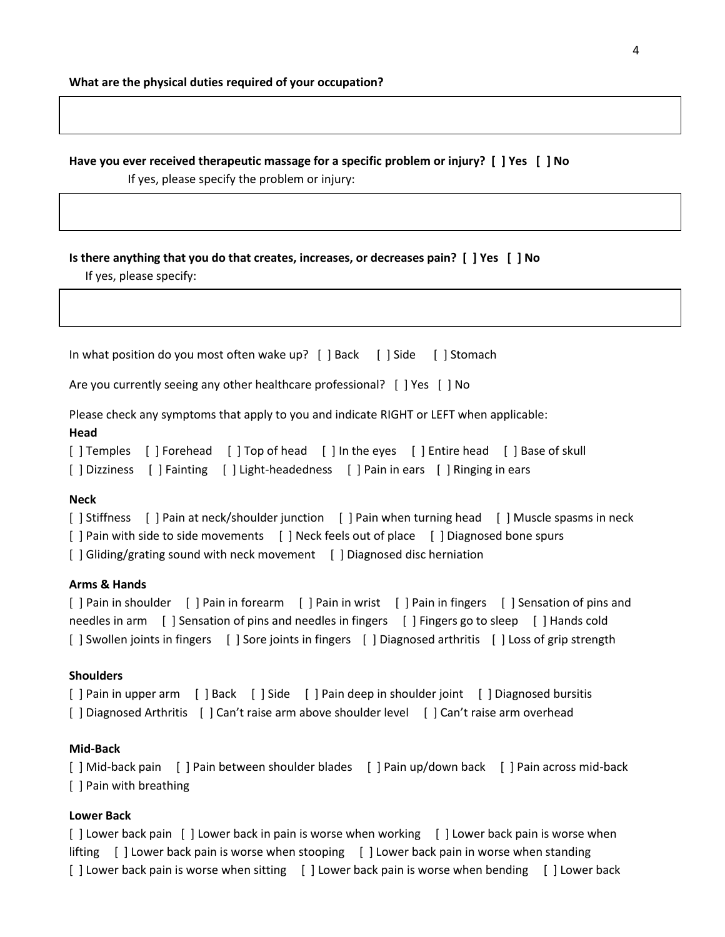**Have you ever received therapeutic massage for a specific problem or injury? [ ] Yes [ ] No**

If yes, please specify the problem or injury:

## **Is there anything that you do that creates, increases, or decreases pain? [ ] Yes [ ] No**

If yes, please specify:

In what position do you most often wake up? [ ] Back [ ] Side [ ] Stomach

Are you currently seeing any other healthcare professional? [ ] Yes [ ] No

Please check any symptoms that apply to you and indicate RIGHT or LEFT when applicable:

#### **Head**

[ ] Temples [ ] Forehead [ ] Top of head [ ] In the eyes [ ] Entire head [ ] Base of skull [ ] Dizziness [ ] Fainting [ ] Light-headedness [ ] Pain in ears [ ] Ringing in ears

## **Neck**

```
[ ] Stiffness [ ] Pain at neck/shoulder junction [ ] Pain when turning head [ ] Muscle spasms in neck
[ ] Pain with side to side movements [ ] Neck feels out of place [ ] Diagnosed bone spurs
[ ] Gliding/grating sound with neck movement [ ] Diagnosed disc herniation
```
## **Arms & Hands**

[ ] Pain in shoulder [ ] Pain in forearm [ ] Pain in wrist [ ] Pain in fingers [ ] Sensation of pins and needles in arm [ ] Sensation of pins and needles in fingers [ ] Fingers go to sleep [ ] Hands cold [ ] Swollen joints in fingers [ ] Sore joints in fingers [ ] Diagnosed arthritis [ ] Loss of grip strength

#### **Shoulders**

[ ] Pain in upper arm [ ] Back [ ] Side [ ] Pain deep in shoulder joint [ ] Diagnosed bursitis [] Diagnosed Arthritis [] Can't raise arm above shoulder level [] Can't raise arm overhead

#### **Mid-Back**

[ ] Mid-back pain [ ] Pain between shoulder blades [ ] Pain up/down back [ ] Pain across mid-back [ ] Pain with breathing

#### **Lower Back**

[ ] Lower back pain [ ] Lower back in pain is worse when working [ ] Lower back pain is worse when lifting [ ] Lower back pain is worse when stooping [ ] Lower back pain in worse when standing [ ] Lower back pain is worse when sitting [ ] Lower back pain is worse when bending [ ] Lower back